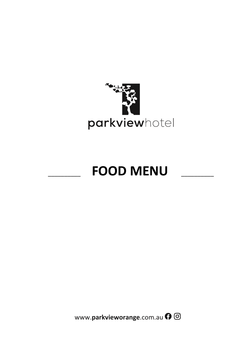

# \_\_\_\_\_\_\_\_\_\_ **FOOD MENU** \_\_\_\_\_\_\_\_\_\_

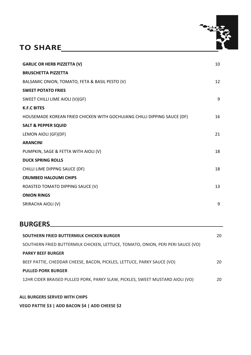# 



| 10 |
|----|
|    |
| 12 |
|    |
| q  |
|    |
| 16 |
|    |
| 21 |
|    |
| 18 |
|    |
| 18 |
|    |
| 13 |
|    |
| 9  |
|    |

# **BURGERS**

| SOUTHERN FRIED BUTTERMILK CHICKEN BURGER                                        | 20 |
|---------------------------------------------------------------------------------|----|
| SOUTHERN FRIED BUTTERMILK CHICKEN, LETTUCE, TOMATO, ONION, PERI PERI SAUCE (VO) |    |
| <b>PARKY BEEF BURGER</b>                                                        |    |
| BEEF PATTIE, CHEDDAR CHEESE, BACON, PICKLES, LETTUCE, PARKY SAUCE (VO)          | 20 |
| <b>PULLED PORK BURGER</b>                                                       |    |
| 12HR CIDER BRAISED PULLED PORK, PARKY SLAW, PICKLES, SWEET MUSTARD AIOLI (VO)   | 20 |
|                                                                                 |    |

#### **ALL BURGERS SERVED WITH CHIPS**

**VEGO PATTIE \$3 | ADD BACON \$4 | ADD CHEESE \$2**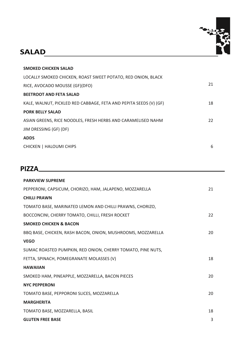

### **SALAD**

| <b>SMOKED CHICKEN SALAD</b>                                       |    |
|-------------------------------------------------------------------|----|
| LOCALLY SMOKED CHICKEN, ROAST SWEET POTATO, RED ONION, BLACK      |    |
| RICE, AVOCADO MOUSSE (GF)(DFO)                                    | 21 |
| <b>BEETROOT AND FETA SALAD</b>                                    |    |
| KALE, WALNUT, PICKLED RED CABBAGE, FETA AND PEPITA SEEDS (V) (GF) | 18 |
| <b>PORK BELLY SALAD</b>                                           |    |
| ASIAN GREENS, RICE NOODLES, FRESH HERBS AND CARAMELISED NAHM      | 22 |
| JIM DRESSING (GF) (DF)                                            |    |
| <b>ADDS</b>                                                       |    |
| CHICKEN   HALOUMI CHIPS                                           | 6  |
|                                                                   |    |

#### **PIZZA**

| <b>PARKVIEW SUPREME</b>                                     |    |
|-------------------------------------------------------------|----|
| PEPPERONI, CAPSICUM, CHORIZO, HAM, JALAPENO, MOZZARELLA     | 21 |
| <b>CHILLI PRAWN</b>                                         |    |
| TOMATO BASE, MARINATED LEMON AND CHILLI PRAWNS, CHORIZO,    |    |
| BOCCONCINI, CHERRY TOMATO, CHILLI, FRESH ROCKET             | 22 |
| <b>SMOKED CHICKEN &amp; BACON</b>                           |    |
| BBQ BASE, CHICKEN, RASH BACON, ONION, MUSHROOMS, MOZZARELLA | 20 |
| <b>VEGO</b>                                                 |    |
| SUMAC ROASTED PUMPKIN, RED ONION, CHERRY TOMATO, PINE NUTS, |    |
| FETTA, SPINACH, POMEGRANATE MOLASSES (V)                    | 18 |
| <b>HAWAIIAN</b>                                             |    |
| SMOKED HAM, PINEAPPLE, MOZZARELLA, BACON PIECES             | 20 |
| <b>NYC PEPPERONI</b>                                        |    |
| TOMATO BASE, PEPPORONI SLICES, MOZZARELLA                   | 20 |
| <b>MARGHERITA</b>                                           |    |
| TOMATO BASE, MOZZARELLA, BASIL                              | 18 |
| <b>GLUTEN FREE BASE</b>                                     | 3  |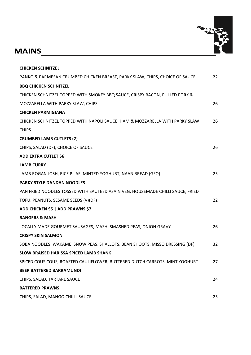# **Tays**

# 

| <b>CHICKEN SCHNITZEL</b>                                                       |    |
|--------------------------------------------------------------------------------|----|
| PANKO & PARMESAN CRUMBED CHICKEN BREAST, PARKY SLAW, CHIPS, CHOICE OF SAUCE    | 22 |
| <b>BBQ CHICKEN SCHNITZEL</b>                                                   |    |
| CHICKEN SCHNITZEL TOPPED WITH SMOKEY BBQ SAUCE, CRISPY BACON, PULLED PORK &    |    |
| MOZZARELLA WITH PARKY SLAW, CHIPS                                              | 26 |
| <b>CHICKEN PARMIGIANA</b>                                                      |    |
| CHICKEN SCHNITZEL TOPPED WITH NAPOLI SAUCE, HAM & MOZZARELLA WITH PARKY SLAW,  | 26 |
| <b>CHIPS</b>                                                                   |    |
| <b>CRUMBED LAMB CUTLETS (2)</b>                                                |    |
| CHIPS, SALAD (DF), CHOICE OF SAUCE                                             | 26 |
| <b>ADD EXTRA CUTLET \$6</b>                                                    |    |
| <b>LAMB CURRY</b>                                                              |    |
| LAMB ROGAN JOSH, RICE PILAF, MINTED YOGHURT, NAAN BREAD (GFO)                  | 25 |
| PARKY STYLE DANDAN NOODLES                                                     |    |
| PAN FRIED NOODLES TOSSED WITH SAUTEED ASAIN VEG, HOUSEMADE CHILLI SAUCE, FRIED |    |
| TOFU, PEANUTS, SESAME SEEDS (V)(DF)                                            | 22 |
| ADD CHICKEN \$5   ADD PRAWNS \$7                                               |    |
| <b>BANGERS &amp; MASH</b>                                                      |    |
| LOCALLY MADE GOURMET SAUSAGES, MASH, SMASHED PEAS, ONION GRAVY                 | 26 |
| <b>CRISPY SKIN SALMON</b>                                                      |    |
| SOBA NOODLES, WAKAME, SNOW PEAS, SHALLOTS, BEAN SHOOTS, MISSO DRESSING (DF)    | 32 |
| SLOW BRAISED HARISSA SPICED LAMB SHANK                                         |    |
| SPICED COUS COUS, ROASTED CAULIFLOWER, BUTTERED DUTCH CARROTS, MINT YOGHURT    | 27 |
| <b>BEER BATTERED BARRAMUNDI</b>                                                |    |
| CHIPS, SALAD, TARTARE SAUCE                                                    | 24 |
| <b>BATTERED PRAWNS</b>                                                         |    |
| CHIPS, SALAD, MANGO CHILLI SAUCE                                               | 25 |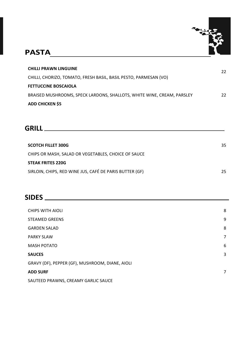

# 

| CHILLI PRAWN LINGUINE                                                  | 22. |
|------------------------------------------------------------------------|-----|
| CHILLI, CHORIZO, TOMATO, FRESH BASIL, BASIL PESTO, PARMESAN (VO)       |     |
| <b>FETTUCCINE BOSCAIOLA</b>                                            |     |
| BRAISED MUSHROOMS. SPECK LARDONS. SHALLOTS. WHITE WINE. CREAM. PARSLEY | 22  |
| <b>ADD CHICKEN \$5</b>                                                 |     |

| <b>SCOTCH FILLET 300G</b>                               | 35  |
|---------------------------------------------------------|-----|
| CHIPS OR MASH. SALAD OR VEGETABLES. CHOICE OF SAUCE     |     |
| <b>STEAK FRITES 220G</b>                                |     |
| SIRLOIN, CHIPS, RED WINE JUS, CAFÉ DE PARIS BUTTER (GF) | 25. |
|                                                         |     |

# **SIDES**

| <b>CHIPS WITH AIOLI</b>                         | 8 |
|-------------------------------------------------|---|
| <b>STEAMED GREENS</b>                           | 9 |
| <b>GARDEN SALAD</b>                             | 8 |
| <b>PARKY SLAW</b>                               | 7 |
| <b>MASH POTATO</b>                              | 6 |
| <b>SAUCES</b>                                   | 3 |
| GRAVY (DF), PEPPER (GF), MUSHROOM, DIANE, AIOLI |   |
| <b>ADD SURF</b>                                 | 7 |
| SAUTEED PRAWNS, CREAMY GARLIC SAUCE             |   |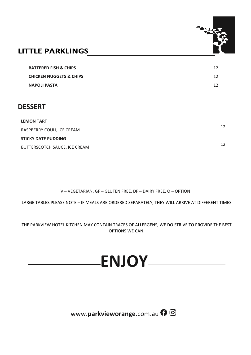

## LITTLE PARKLINGS **Example 20 YO FEBRUARY 1999**

| <b>BATTERED FISH &amp; CHIPS</b>   | 12 |
|------------------------------------|----|
| <b>CHICKEN NUGGETS &amp; CHIPS</b> | 12 |
| <b>NAPOLI PASTA</b>                | 12 |

#### **DESSERT**

| <b>LEMON TART</b>             |    |
|-------------------------------|----|
| RASPBERRY COULI. ICE CREAM    | 12 |
| <b>STICKY DATE PUDDING</b>    |    |
| BUTTERSCOTCH SAUCE. ICE CREAM | 12 |

V – VEGETARIAN. GF – GLUTEN FREE. DF – DAIRY FREE. O – OPTION

LARGE TABLES PLEASE NOTE – IF MEALS ARE ORDERED SEPARATELY, THEY WILL ARRIVE AT DIFFERENT TIMES

THE PARKVIEW HOTEL KITCHEN MAY CONTAIN TRACES OF ALLERGENS, WE DO STRIVE TO PROVIDE THE BEST OPTIONS WE CAN.

# **ENJOY**

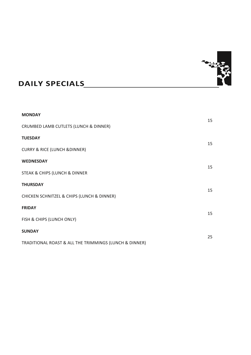

# DAILY SPECIALS **SAILLY**

| <b>MONDAY</b>                                          | 15 |
|--------------------------------------------------------|----|
| CRUMBED LAMB CUTLETS (LUNCH & DINNER)                  |    |
| <b>TUESDAY</b>                                         | 15 |
| <b>CURRY &amp; RICE (LUNCH &amp; DINNER)</b>           |    |
| <b>WEDNESDAY</b>                                       | 15 |
| STEAK & CHIPS (LUNCH & DINNER                          |    |
| <b>THURSDAY</b>                                        | 15 |
| CHICKEN SCHNITZEL & CHIPS (LUNCH & DINNER)             |    |
| <b>FRIDAY</b>                                          | 15 |
| FISH & CHIPS (LUNCH ONLY)                              |    |
| <b>SUNDAY</b>                                          |    |
| TRADITIONAL ROAST & ALL THE TRIMMINGS (LUNCH & DINNER) | 25 |